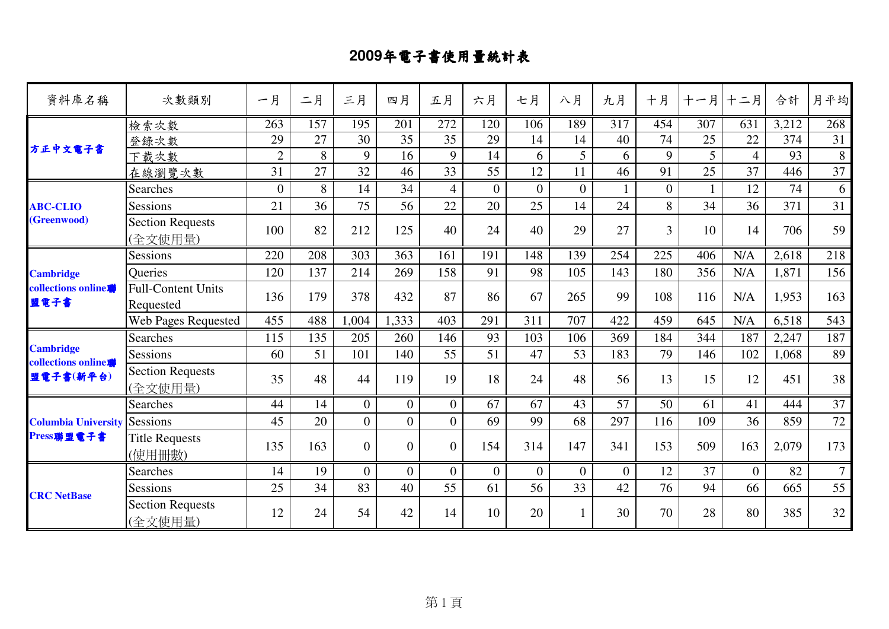## **2009**年電子書使用量統計表

| 資料庫名稱                                           | 次數類別                                   | 一月               | 二月  | 三月             | 四月             | 五月               | 六月               | 七月               | 八月             | 九月               | 十月             | 十一月              | 十二月            | 合計    | 月平均             |
|-------------------------------------------------|----------------------------------------|------------------|-----|----------------|----------------|------------------|------------------|------------------|----------------|------------------|----------------|------------------|----------------|-------|-----------------|
| 方正中文電子書                                         | 檢索次數                                   | $\overline{263}$ | 157 | 195            | 201            | $\overline{272}$ | 120              | $\overline{106}$ | 189            | $\overline{317}$ | 454            | $\overline{307}$ | 631            | 3,212 | 268             |
|                                                 | 登錄次數                                   | 29               | 27  | 30             | 35             | 35               | 29               | 14               | 14             | 40               | 74             | 25               | 22             | 374   | 31              |
|                                                 | 下載次數                                   | $\overline{2}$   | 8   | 9              | 16             | 9                | 14               | 6                | 5              | 6                | 9              | 5                | $\overline{4}$ | 93    | 8               |
|                                                 | 在線瀏覽次數                                 | 31               | 27  | 32             | 46             | 33               | 55               | 12               | 11             | 46               | 91             | 25               | 37             | 446   | 37              |
|                                                 | <b>Searches</b>                        | $\theta$         | 8   | 14             | 34             | $\overline{4}$   | $\overline{0}$   | $\overline{0}$   | $\overline{0}$ |                  | $\overline{0}$ |                  | 12             | 74    | 6               |
| <b>ABC-CLIO</b>                                 | <b>Sessions</b>                        | 21               | 36  | 75             | 56             | 22               | 20               | 25               | 14             | 24               | 8              | 34               | 36             | 371   | 31              |
| (Greenwood)                                     | <b>Section Requests</b><br>(全文使用量)     | 100              | 82  | 212            | 125            | 40               | 24               | 40               | 29             | 27               | 3              | 10               | 14             | 706   | 59              |
| <b>Cambridge</b><br>collections online.<br>盟電子書 | Sessions                               | 220              | 208 | 303            | 363            | 161              | 191              | 148              | 139            | 254              | 225            | 406              | N/A            | 2,618 | 218             |
|                                                 | Queries                                | 120              | 137 | 214            | 269            | 158              | 91               | 98               | 105            | 143              | 180            | 356              | N/A            | 1,871 | 156             |
|                                                 | <b>Full-Content Units</b><br>Requested | 136              | 179 | 378            | 432            | 87               | 86               | 67               | 265            | 99               | 108            | 116              | N/A            | 1,953 | 163             |
|                                                 | <b>Web Pages Requested</b>             | 455              | 488 | 1,004          | 1,333          | 403              | 291              | 311              | 707            | 422              | 459            | 645              | N/A            | 6,518 | 543             |
|                                                 | <b>Searches</b>                        | 115              | 135 | 205            | 260            | 146              | 93               | 103              | 106            | 369              | 184            | 344              | 187            | 2,247 | 187             |
| <b>Cambridge</b>                                | Sessions                               | 60               | 51  | 101            | 140            | 55               | 51               | 47               | 53             | 183              | 79             | 146              | 102            | 1,068 | 89              |
| collections online.<br>盟電子書(新平台)                | <b>Section Requests</b><br>(全文使用量)     | 35               | 48  | 44             | 119            | 19               | 18               | 24               | 48             | 56               | 13             | 15               | 12             | 451   | 38              |
|                                                 | <b>Searches</b>                        | 44               | 14  | $\overline{0}$ | $\overline{0}$ | $\overline{0}$   | 67               | 67               | 43             | 57               | 50             | 61               | 41             | 444   | $\overline{37}$ |
| <b>Columbia University Sessions</b>             |                                        | 45               | 20  | $\overline{0}$ | $\overline{0}$ | $\overline{0}$   | 69               | 99               | 68             | 297              | 116            | 109              | 36             | 859   | 72              |
| Press聯盟電子書                                      | <b>Title Requests</b><br>(使用冊數)        | 135              | 163 | $\overline{0}$ | $\overline{0}$ | $\overline{0}$   | 154              | 314              | 147            | 341              | 153            | 509              | 163            | 2,079 | 173             |
|                                                 | Searches                               | 14               | 19  | $\overline{0}$ | $\overline{0}$ | $\overline{0}$   | $\boldsymbol{0}$ | $\overline{0}$   | $\overline{0}$ | $\theta$         | 12             | 37               | $\overline{0}$ | 82    | $\overline{7}$  |
| <b>CRC</b> NetBase                              | Sessions                               | 25               | 34  | 83             | 40             | 55               | 61               | 56               | 33             | 42               | 76             | 94               | 66             | 665   | 55              |
|                                                 | <b>Section Requests</b><br>(全文使用量)     | 12               | 24  | 54             | 42             | 14               | 10               | 20               |                | 30               | 70             | 28               | 80             | 385   | 32              |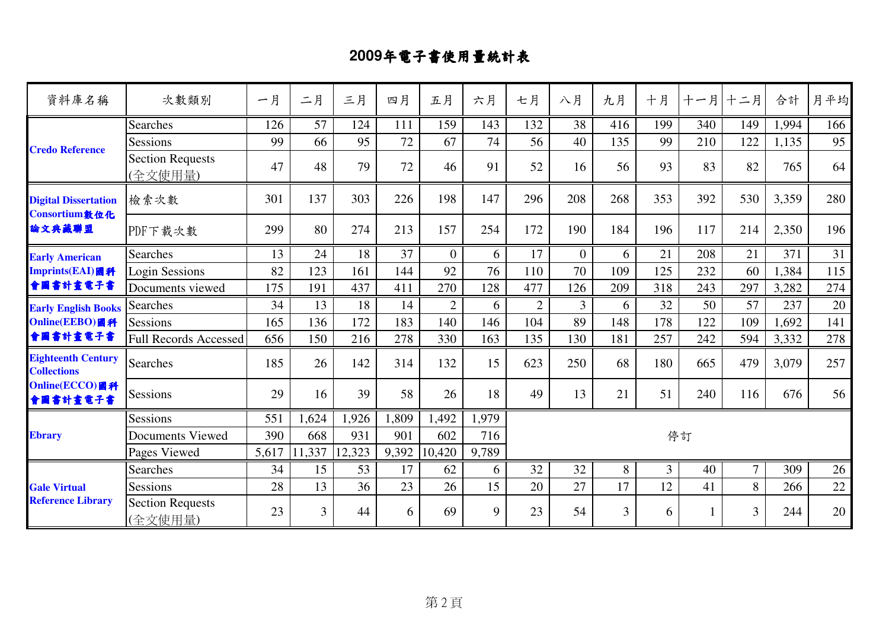## **2009**年電子書使用量統計表

| 資料庫名稱                                                  | 次數類別                               | 一月    | 二月     | 三月     | 四月    | 五月             | 六月    | 七月             | 八月             | 九月             | 十月             | 十一月 | 十二月            | 合計    | 月平均 |
|--------------------------------------------------------|------------------------------------|-------|--------|--------|-------|----------------|-------|----------------|----------------|----------------|----------------|-----|----------------|-------|-----|
| <b>Credo Reference</b>                                 | <b>Searches</b>                    | 126   | 57     | 124    | 111   | 159            | 143   | 132            | 38             | 416            | 199            | 340 | 149            | 1,994 | 166 |
|                                                        | Sessions                           | 99    | 66     | 95     | 72    | 67             | 74    | 56             | 40             | 135            | 99             | 210 | 122            | 1,135 | 95  |
|                                                        | <b>Section Requests</b><br>(全文使用量) | 47    | 48     | 79     | 72    | 46             | 91    | 52             | 16             | 56             | 93             | 83  | 82             | 765   | 64  |
| <b>Digital Dissertation</b><br>Consortium敦位化<br>論文典藏聯盟 | 檢索次數                               | 301   | 137    | 303    | 226   | 198            | 147   | 296            | 208            | 268            | 353            | 392 | 530            | 3,359 | 280 |
|                                                        | PDF下載次數                            | 299   | 80     | 274    | 213   | 157            | 254   | 172            | 190            | 184            | 196            | 117 | 214            | 2,350 | 196 |
| <b>Early American</b>                                  | <b>Searches</b>                    | 13    | 24     | 18     | 37    | $\Omega$       | 6     | 17             | $\overline{0}$ | 6              | 21             | 208 | 21             | 371   | 31  |
| Imprints(EAI)圖科                                        | <b>Login Sessions</b>              | 82    | 123    | 161    | 144   | 92             | 76    | 110            | 70             | 109            | 125            | 232 | 60             | 1,384 | 115 |
| 會圖書計畫電子書                                               | Documents viewed                   | 175   | 191    | 437    | 411   | 270            | 128   | 477            | 126            | 209            | 318            | 243 | 297            | 3,282 | 274 |
| <b>Early English Books</b>                             | <b>Searches</b>                    | 34    | 13     | 18     | 14    | $\overline{2}$ | 6     | $\overline{2}$ | $\overline{3}$ | 6              | 32             | 50  | 57             | 237   | 20  |
| Online(EEBO)國科                                         | Sessions                           | 165   | 136    | 172    | 183   | 140            | 146   | 104            | 89             | 148            | 178            | 122 | 109            | 1,692 | 141 |
| 會圖書計畫電子書                                               | <b>Full Records Accessed</b>       | 656   | 150    | 216    | 278   | 330            | 163   | 135            | 130            | 181            | 257            | 242 | 594            | 3,332 | 278 |
| <b>Eighteenth Century</b><br><b>Collections</b>        | <b>Searches</b>                    | 185   | 26     | 142    | 314   | 132            | 15    | 623            | 250            | 68             | 180            | 665 | 479            | 3,079 | 257 |
| Online(ECCO)图科<br>會圖書計畫電子書                             | <b>Sessions</b>                    | 29    | 16     | 39     | 58    | 26             | 18    | 49             | 13             | 21             | 51             | 240 | 116            | 676   | 56  |
|                                                        | <b>Sessions</b>                    | 551   | 1,624  | 1,926  | 1,809 | 1,492          | 1,979 |                |                |                |                |     |                |       |     |
| <b>Ebrary</b>                                          | <b>Documents Viewed</b>            | 390   | 668    | 931    | 901   | 602            | 716   |                |                |                |                | 停訂  |                |       |     |
|                                                        | Pages Viewed                       | 5,617 | 11,337 | 12,323 | 9,392 | 10,420         | 9,789 |                |                |                |                |     |                |       |     |
| <b>Gale Virtual</b><br><b>Reference Library</b>        | <b>Searches</b>                    | 34    | 15     | 53     | 17    | 62             | 6     | 32             | 32             | 8              | $\overline{3}$ | 40  | $\overline{7}$ | 309   | 26  |
|                                                        | Sessions                           | 28    | 13     | 36     | 23    | 26             | 15    | 20             | 27             | 17             | 12             | 41  | 8              | 266   | 22  |
|                                                        | <b>Section Requests</b><br>(全文使用量) | 23    | 3      | 44     | 6     | 69             | 9     | 23             | 54             | $\overline{3}$ | 6              | 1   | 3              | 244   | 20  |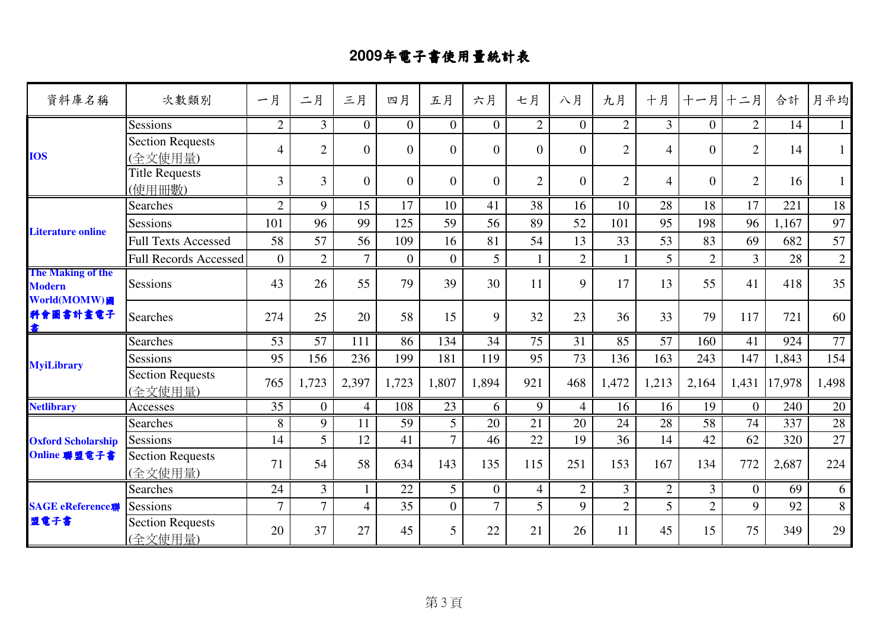## **2009**年電子書使用量統計表

| 資料庫名稱                                                                      | 次數類別                               | 一月             | 二月             | 三月             | 四月             | 五月             | 六月               | 七月              | 八月             | 九月             | 十月              | 十一月             | 十二月            | 合計     | 月平均             |
|----------------------------------------------------------------------------|------------------------------------|----------------|----------------|----------------|----------------|----------------|------------------|-----------------|----------------|----------------|-----------------|-----------------|----------------|--------|-----------------|
| <b>IOS</b>                                                                 | Sessions                           | $\overline{2}$ | $\overline{3}$ | $\overline{0}$ | $\overline{0}$ | $\overline{0}$ | $\overline{0}$   | $\overline{2}$  | $\overline{0}$ | 2              | 3 <sup>1</sup>  | $\overline{0}$  | $\overline{2}$ | 14     | 1               |
|                                                                            | <b>Section Requests</b><br>(全文使用量) | $\overline{4}$ | $\overline{2}$ | $\overline{0}$ | $\overline{0}$ | $\overline{0}$ | $\overline{0}$   | $\overline{0}$  | $\overline{0}$ | $\overline{2}$ | $\overline{4}$  | $\overline{0}$  | $\overline{2}$ | 14     | $\mathbf{1}$    |
|                                                                            | <b>Title Requests</b><br>(使用冊數)    | $\overline{3}$ | $\overline{3}$ | $\Omega$       | $\overline{0}$ | $\overline{0}$ | $\overline{0}$   | $\overline{2}$  | $\overline{0}$ | $\overline{2}$ | $\overline{4}$  | $\overline{0}$  | $\overline{2}$ | 16     | $\mathbf{1}$    |
|                                                                            | <b>Searches</b>                    | $\overline{2}$ | 9              | 15             | 17             | 10             | 41               | 38              | 16             | 10             | 28              | 18              | 17             | 221    | 18              |
|                                                                            | <b>Sessions</b>                    | 101            | 96             | 99             | 125            | 59             | 56               | 89              | 52             | 101            | 95              | 198             | 96             | 1,167  | 97              |
| <b>Literature online</b>                                                   | <b>Full Texts Accessed</b>         | 58             | 57             | 56             | 109            | 16             | 81               | 54              | 13             | 33             | 53              | 83              | 69             | 682    | 57              |
|                                                                            | <b>Full Records Accessed</b>       | $\overline{0}$ | $\overline{2}$ | $\overline{7}$ | $\overline{0}$ | $\overline{0}$ | 5                | $\mathbf{1}$    | $\overline{2}$ | $\mathbf{1}$   | 5               | $\overline{2}$  | $\overline{3}$ | 28     | $\sqrt{2}$      |
| <b>The Making of the</b><br><b>Modern</b><br>World(MOMW)圖<br>科會圖書計畫電子<br>書 | Sessions                           | 43             | 26             | 55             | 79             | 39             | 30               | 11              | 9              | 17             | 13              | 55              | 41             | 418    | 35              |
|                                                                            | Searches                           | 274            | 25             | 20             | 58             | 15             | 9                | 32              | 23             | 36             | 33              | 79              | 117            | 721    | 60              |
|                                                                            | <b>Searches</b>                    | 53             | 57             | 111            | 86             | 134            | 34               | $\overline{75}$ | 31             | 85             | $\overline{57}$ | 160             | 41             | 924    | $\overline{77}$ |
| <b>MyiLibrary</b>                                                          | <b>Sessions</b>                    | 95             | 156            | 236            | 199            | 181            | 119              | 95              | 73             | 136            | 163             | 243             | 147            | 1,843  | 154             |
|                                                                            | <b>Section Requests</b><br>(全文使用量) | 765            | 1,723          | 2,397          | 1,723          | 1,807          | 1,894            | 921             | 468            | 1,472          | 1,213           | 2,164           | 1,431          | 17,978 | 1,498           |
| <b>Netlibrary</b>                                                          | Accesses                           | 35             | $\overline{0}$ | $\overline{4}$ | 108            | 23             | 6                | 9               | $\overline{4}$ | 16             | 16              | 19              | $\overline{0}$ | 240    | 20              |
|                                                                            | Searches                           | 8              | 9              | 11             | 59             | $\overline{5}$ | 20               | 21              | 20             | 24             | $\overline{28}$ | $\overline{58}$ | 74             | 337    | 28              |
| <b>Oxford Scholarship</b>                                                  | Sessions                           | 14             | 5              | 12             | 41             | $\overline{7}$ | 46               | 22              | 19             | 36             | 14              | 42              | 62             | 320    | 27              |
| Online 聯盟電子書                                                               | <b>Section Requests</b><br>(全文使用量) | 71             | 54             | 58             | 634            | 143            | 135              | 115             | 251            | 153            | 167             | 134             | 772            | 2,687  | 224             |
| <b>SAGE eReference聯</b><br>盟電子書                                            | <b>Searches</b>                    | 24             | $\overline{3}$ |                | 22             | 5 <sup>5</sup> | $\boldsymbol{0}$ | $\overline{4}$  | $\overline{2}$ | $\overline{3}$ | $\overline{2}$  | 3 <sup>1</sup>  | $\overline{0}$ | 69     | 6               |
|                                                                            | Sessions                           | $\overline{7}$ | $\overline{7}$ | $\overline{4}$ | 35             | $\overline{0}$ | $\overline{7}$   | $\overline{5}$  | 9              | $\overline{2}$ | 5               | $\overline{2}$  | 9              | 92     | 8               |
|                                                                            | Section Requests<br>(全文使用量)        | 20             | 37             | 27             | 45             | 5              | 22               | 21              | 26             | 11             | 45              | 15              | 75             | 349    | 29              |